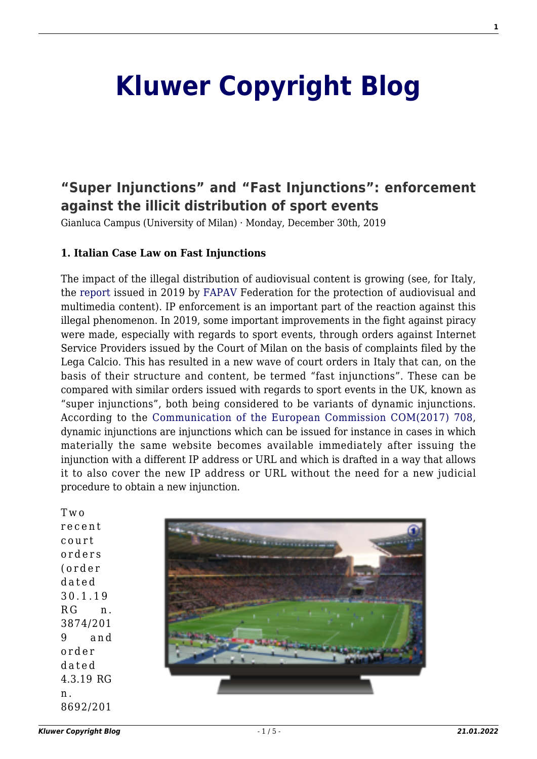# **[Kluwer Copyright Blog](http://copyrightblog.kluweriplaw.com/)**

# **["Super Injunctions" and "Fast Injunctions": enforcement](http://copyrightblog.kluweriplaw.com/2019/12/30/super-injunctions-and-fast-injunctions-enforcement-against-the-illicit-distribution-of-sport-events/) [against the illicit distribution of sport events](http://copyrightblog.kluweriplaw.com/2019/12/30/super-injunctions-and-fast-injunctions-enforcement-against-the-illicit-distribution-of-sport-events/)**

Gianluca Campus (University of Milan) · Monday, December 30th, 2019

#### **1. Italian Case Law on Fast Injunctions**

The impact of the illegal distribution of audiovisual content is growing (see, for Italy, the [report](https://www.key4biz.it/indagine-fapav-ipsos-sulla-pirateria-audiovisiva-in-italia-danni-al-sistema-paese-per-11-miliardi-di-euro/265080/) issued in 2019 by [FAPAV](https://fapav.it/) Federation for the protection of audiovisual and multimedia content). IP enforcement is an important part of the reaction against this illegal phenomenon. In 2019, some important improvements in the fight against piracy were made, especially with regards to sport events, through orders against Internet Service Providers issued by the Court of Milan on the basis of complaints filed by the Lega Calcio. This has resulted in a new wave of court orders in Italy that can, on the basis of their structure and content, be termed "fast injunctions". These can be compared with similar orders issued with regards to sport events in the UK, known as "super injunctions", both being considered to be variants of dynamic injunctions. According to the [Communication of the European Commission COM\(2017\) 708](https://ec.europa.eu/transparency/regdoc/rep/1/2017/EN/COM-2017-708-F1-EN-MAIN-PART-1.PDF), dynamic injunctions are injunctions which can be issued for instance in cases in which materially the same website becomes available immediately after issuing the injunction with a different IP address or URL and which is drafted in a way that allows it to also cover the new IP address or URL without the need for a new judicial procedure to obtain a new injunction.

Two recent court orders (order dated 30.1.19 RG n. 3874/201 9 and order dated 4.3.19 RG n . 8692/201

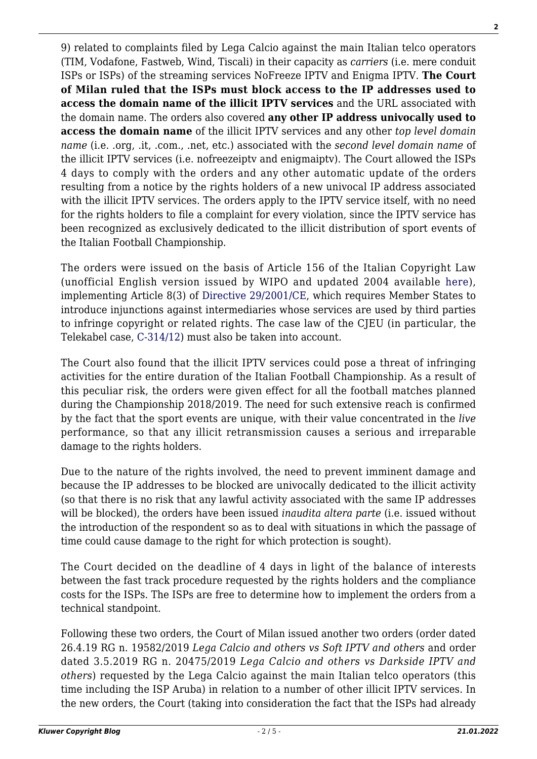9) related to complaints filed by Lega Calcio against the main Italian telco operators (TIM, Vodafone, Fastweb, Wind, Tiscali) in their capacity as *carriers* (i.e. mere conduit ISPs or ISPs) of the streaming services NoFreeze IPTV and Enigma IPTV. **The Court of Milan ruled that the ISPs must block access to the IP addresses used to access the domain name of the illicit IPTV services** and the URL associated with the domain name. The orders also covered **any other IP address univocally used to access the domain name** of the illicit IPTV services and any other *top level domain name* (i.e. .org, .it, .com., .net, etc.) associated with the *second level domain name* of the illicit IPTV services (i.e. nofreezeiptv and enigmaiptv). The Court allowed the ISPs 4 days to comply with the orders and any other automatic update of the orders resulting from a notice by the rights holders of a new univocal IP address associated with the illicit IPTV services. The orders apply to the IPTV service itself, with no need for the rights holders to file a complaint for every violation, since the IPTV service has been recognized as exclusively dedicated to the illicit distribution of sport events of the Italian Football Championship.

The orders were issued on the basis of Article 156 of the Italian Copyright Law (unofficial English version issued by WIPO and updated 2004 available [here\)](https://www.wipo.int/edocs/lexdocs/laws/en/it/it211en.pdf), implementing Article 8(3) of [Directive 29/2001/CE,](https://eur-lex.europa.eu/legal-content/EN/TXT/HTML/?uri=CELEX:32001L0029&from=IT) which requires Member States to introduce injunctions against intermediaries whose services are used by third parties to infringe copyright or related rights. The case law of the CJEU (in particular, the Telekabel case, [C-314/12](http://curia.europa.eu/juris/document/document.jsf;jsessionid=BABC2747B4CF766788855707D6837C4D?text=&docid=149924&pageIndex=0&doclang=EN&mode=lst&dir=&occ=first&part=1&cid=5538019)) must also be taken into account.

The Court also found that the illicit IPTV services could pose a threat of infringing activities for the entire duration of the Italian Football Championship. As a result of this peculiar risk, the orders were given effect for all the football matches planned during the Championship 2018/2019. The need for such extensive reach is confirmed by the fact that the sport events are unique, with their value concentrated in the *live* performance, so that any illicit retransmission causes a serious and irreparable damage to the rights holders.

Due to the nature of the rights involved, the need to prevent imminent damage and because the IP addresses to be blocked are univocally dedicated to the illicit activity (so that there is no risk that any lawful activity associated with the same IP addresses will be blocked), the orders have been issued *inaudita altera parte* (i.e. issued without the introduction of the respondent so as to deal with situations in which the passage of time could cause damage to the right for which protection is sought).

The Court decided on the deadline of 4 days in light of the balance of interests between the fast track procedure requested by the rights holders and the compliance costs for the ISPs. The ISPs are free to determine how to implement the orders from a technical standpoint.

Following these two orders, the Court of Milan issued another two orders (order dated 26.4.19 RG n. 19582/2019 *Lega Calcio and others vs Soft IPTV and others* and order dated 3.5.2019 RG n. 20475/2019 *Lega Calcio and others vs Darkside IPTV and others*) requested by the Lega Calcio against the main Italian telco operators (this time including the ISP Aruba) in relation to a number of other illicit IPTV services. In the new orders, the Court (taking into consideration the fact that the ISPs had already **2**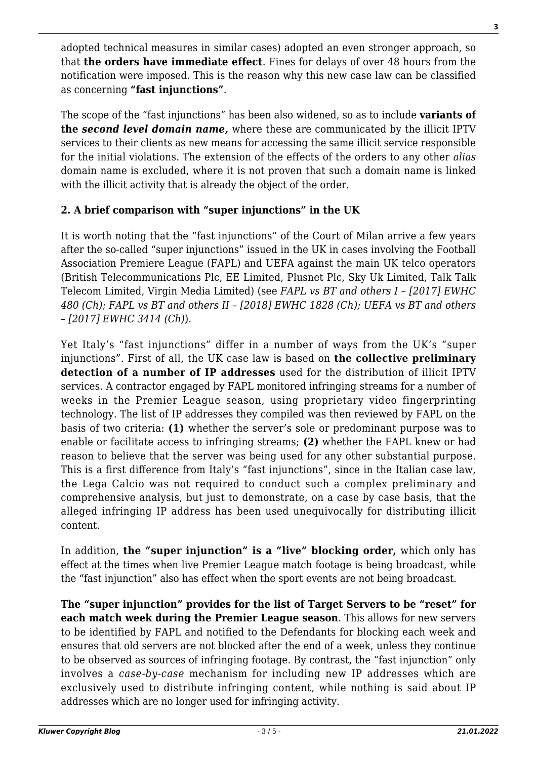adopted technical measures in similar cases) adopted an even stronger approach, so that **the orders have immediate effect**. Fines for delays of over 48 hours from the notification were imposed. This is the reason why this new case law can be classified as concerning **"fast injunctions"**.

The scope of the "fast injunctions" has been also widened, so as to include **variants of the** *second level domain name,* where these are communicated by the illicit IPTV services to their clients as new means for accessing the same illicit service responsible for the initial violations. The extension of the effects of the orders to any other *alias* domain name is excluded, where it is not proven that such a domain name is linked with the illicit activity that is already the object of the order.

## **2. A brief comparison with "super injunctions" in the UK**

It is worth noting that the "fast injunctions" of the Court of Milan arrive a few years after the so-called "super injunctions" issued in the UK in cases involving the Football Association Premiere League (FAPL) and UEFA against the main UK telco operators (British Telecommunications Plc, EE Limited, Plusnet Plc, Sky Uk Limited, Talk Talk Telecom Limited, Virgin Media Limited) (see *FAPL vs BT and others I – [2017] EWHC 480 (Ch); FAPL vs BT and others II – [2018] EWHC 1828 (Ch); UEFA vs BT and others – [2017] EWHC 3414 (Ch)*).

Yet Italy's "fast injunctions" differ in a number of ways from the UK's "super injunctions". First of all, the UK case law is based on **the collective preliminary detection of a number of IP addresses** used for the distribution of illicit IPTV services. A contractor engaged by FAPL monitored infringing streams for a number of weeks in the Premier League season, using proprietary video fingerprinting technology. The list of IP addresses they compiled was then reviewed by FAPL on the basis of two criteria: **(1)** whether the server's sole or predominant purpose was to enable or facilitate access to infringing streams; **(2)** whether the FAPL knew or had reason to believe that the server was being used for any other substantial purpose. This is a first difference from Italy's "fast injunctions", since in the Italian case law, the Lega Calcio was not required to conduct such a complex preliminary and comprehensive analysis, but just to demonstrate, on a case by case basis, that the alleged infringing IP address has been used unequivocally for distributing illicit content.

In addition, **the "super injunction" is a "live" blocking order,** which only has effect at the times when live Premier League match footage is being broadcast, while the "fast injunction" also has effect when the sport events are not being broadcast.

**The "super injunction" provides for the list of Target Servers to be "reset" for each match week during the Premier League season**. This allows for new servers to be identified by FAPL and notified to the Defendants for blocking each week and ensures that old servers are not blocked after the end of a week, unless they continue to be observed as sources of infringing footage. By contrast, the "fast injunction" only involves a *case-by-case* mechanism for including new IP addresses which are exclusively used to distribute infringing content, while nothing is said about IP addresses which are no longer used for infringing activity.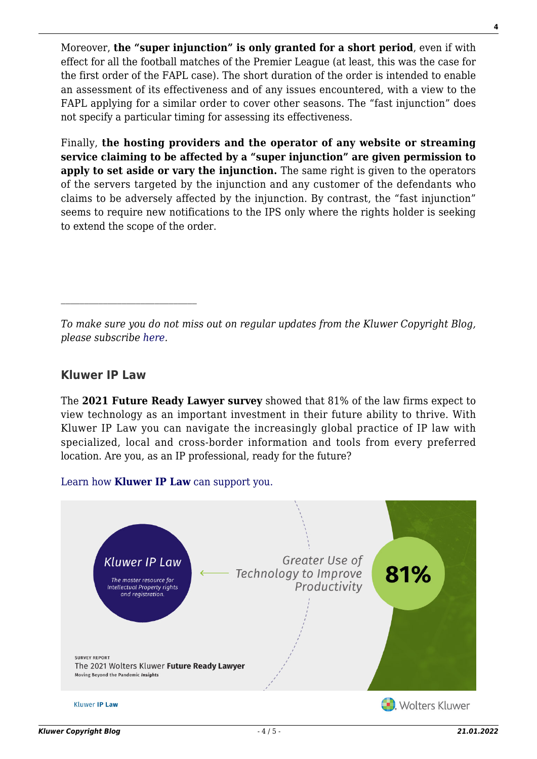Moreover, **the "super injunction" is only granted for a short period**, even if with effect for all the football matches of the Premier League (at least, this was the case for the first order of the FAPL case). The short duration of the order is intended to enable an assessment of its effectiveness and of any issues encountered, with a view to the FAPL applying for a similar order to cover other seasons. The "fast injunction" does not specify a particular timing for assessing its effectiveness.

Finally, **the hosting providers and the operator of any website or streaming service claiming to be affected by a "super injunction" are given permission to apply to set aside or vary the injunction.** The same right is given to the operators of the servers targeted by the injunction and any customer of the defendants who claims to be adversely affected by the injunction. By contrast, the "fast injunction" seems to require new notifications to the IPS only where the rights holder is seeking to extend the scope of the order.

*To make sure you do not miss out on regular updates from the Kluwer Copyright Blog, please subscribe [here.](http://copyrightblog.kluweriplaw.com/newsletter)*

### **Kluwer IP Law**

The **2021 Future Ready Lawyer survey** showed that 81% of the law firms expect to view technology as an important investment in their future ability to thrive. With Kluwer IP Law you can navigate the increasingly global practice of IP law with specialized, local and cross-border information and tools from every preferred location. Are you, as an IP professional, ready for the future?



[Learn how](https://www.wolterskluwer.com/en/solutions/kluweriplaw?utm_source=copyrightnblog&utm_medium=articleCTA&utm_campaign=article-banner) **[Kluwer IP Law](https://www.wolterskluwer.com/en/solutions/kluweriplaw?utm_source=copyrightnblog&utm_medium=articleCTA&utm_campaign=article-banner)** [can support you.](https://www.wolterskluwer.com/en/solutions/kluweriplaw?utm_source=copyrightnblog&utm_medium=articleCTA&utm_campaign=article-banner)